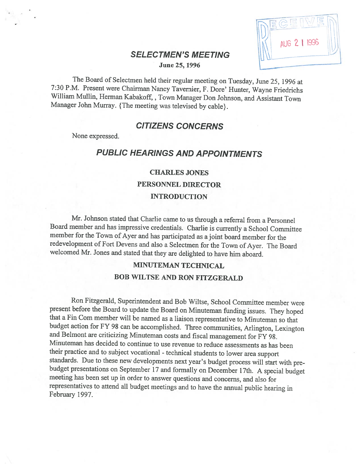# AUG 2 1 1996

# SELECTMEN'S MEETING<br>June 25, 1996

The Board of Selectmen held their regular meeting on Tuesday, June 25, 1996 at 7:30 P.M. Present were Chairman Nancy Tavernier, F. Dore' Hunter, Wayne Friedrichs William Mullin, Herman Kabakoff, , Town Manager Don Johnson, and Assistant Town Manager John Murray. {The meeting was televised by cable}.

# CITIZENS CONCERNS

None expressed.

# PUBLIC HEARINGS AND APPOINTMENTS

#### CHARLES JONES

PERSONNEL DIRECTOR

#### INTRODUCTION

Mr. Johnson stated that Charlie came to us through <sup>a</sup> referral from <sup>a</sup> Personnel Board member and has impressive credentials. Charlie is currently <sup>a</sup> School Committee member for the Town of Ayer and has participated as <sup>a</sup> joint board member for the redevelopment of fort Devens and also <sup>a</sup> Selectmen for the Town of Ayer. The Board welcomed Mr. Jones and stated that they are delighted to have him aboard.

# MINUTEMAN TECHNICAL

#### BOB WILTSE AND RON FITZGERALD

Ron Fitzgerald, Superintendent and Bob Wiltse, School Committee member were<br>present before the Board to update the Board on Minuteman funding issues. They hoped that a Fin Com member will be named as a liaison representative to Minuteman so that budget action for FY 98 can be accomplished. Three communities, Arlington, Lexington and Belmont are criticizing Minuteman costs and fiscal management for FY 98. Minuteman has decided to continue to use revenue to reduce assessments as has been their practice and to subject vocational - technical students to lower area support standards. Due to these new developments next year's budget process will start with prebudget presentations on September 17 and formally on December 17th. A special budget meeting has been set up in order to answer questions and concerns, and also for representatives to attend all budget meetings and to have the annual public hearing in February 1997.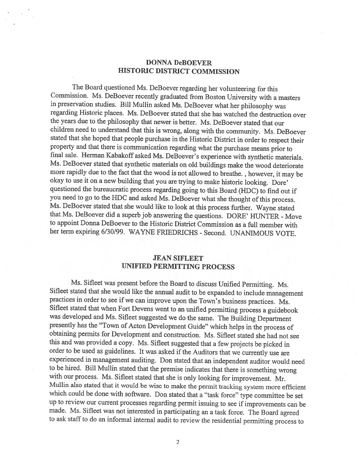#### DONNA DeBOEVER HISTORIC DISTRICT COMMISSION

The Board questioned Ms. DeBoever regarding her volunteering for this Commission. Ms. DeBoever recently graduated from Boston University with <sup>a</sup> masters in preservation studies. Bill Mullin asked Ms. DeBoever what her <sup>p</sup>hilosophy was regarding Historic <sup>p</sup>laces. Ms. DeBoever stated that she has watched the destruction over the years due to the <sup>p</sup>hilosophy that newer is better. Ms. DeBoever stated that our children need to understand that this is wrong, along with the community. Ms. DeBoever stated that she hoped that people purchase in the Historic District in order to respect their property and that there is communication regarding what the purchase means prior to final sale. Herman Kabakoff asked Ms. DeBoever's experience with synthetic materials. Ms. DeBoever stated that synthetic materials on old buildings make the wood deteriorate more rapidly due to the fact that the wood is not allowed to breathe. , however, it may be okay to use it on a new building that you are trying to make historic looking. Dore' questioned the bureaucratic process regarding going to this Board (HDC) to find out if you need to go to the HDC and asked Ms. DeBoever what she thought of this process. Ms. DeBoever stated that she would like to look at this process further. Wayne stated that Ms. DeBoever did a superb job answering the questions. DORE' HUNTER - Move to appoint Donna DeBoever to the Historic District Commission as <sup>a</sup> full member with her term expiring 6/30/99. WAYNE FRIEDRICHS - Second. UNANIMOUS VOTE.

#### JEAN SIFLEET UNIFIED PERMITTING PROCESS

Ms. Sifleet was present before the Board to discuss Unified Permitting. Ms.<br>Sifleet stated that she would like the annual audit to be expanded to include management<br>practices in order to see if we can improve upon the Town Sifleet stated that when Fort Devens went to an unified permitting process <sup>a</sup> guidebook was developed and Ms. Sifleet suggested we do the same. The Building Department presently has the "Town of Acton Development Guide" which helps in the process of obtaining permits for Development and construction. Ms. Sifleet stated she had not see this and was provided <sup>a</sup> copy. Ms. Sifleet suggested that <sup>a</sup> few projects be picked in order to be used as guidelines. It was asked if the Auditors that we currently use are experienced in management auditing. Don stated that an independent auditor would need to be hired. Bill Mullin stated that the premise indicates that there is something wrong with our process. Ms. Sifleet stated that she is only looking for improvement. Mr. Mullin also stated that it would be wise to make the permit tracking system more efficient which could be done with software. Don stated that <sup>a</sup> "task force" type committee be set up to review our current processes regarding permit issuing to see if improvements can be made. Ms. Sifleet was not interested in participating an <sup>a</sup> task force. The Board agreed to ask staff to do an informal internal audit to review the residential permitting process to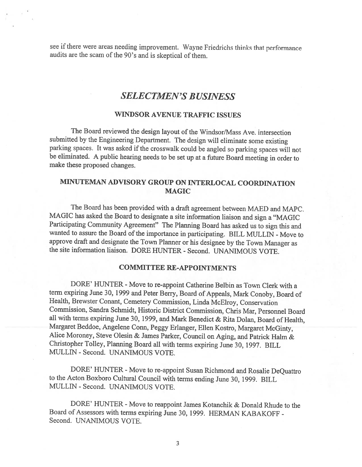see if there were areas needing improvement. Wayne Friedrichs thinks that performance audits are the scam of the 90's and is skeptical of them.

# SELECTMEN'S BUSINESS

#### WINDSOR AVENUE TRAFFIC ISSUES

The Board reviewed the design layout of the Windsor/Mass Ave. intersection submitted by the Engineering Department. The design will eliminate some existing parking spaces. It was asked if the crosswalk could be angled so parking spaces will not be eliminated. <sup>A</sup> public hearing needs to be set up at <sup>a</sup> future Board meeting in order to make these proposed changes.

# MINUTEMAN ADVISORY GROUP ON INTERLOCAL COORDINATION MAGIC

The Board has been provided with <sup>a</sup> draft agreement between MAED and MAPC. MAGIC has asked the Board to designate <sup>a</sup> site information liaison and sign <sup>a</sup> "MAGIC Participating Community Agreement" The Planning Board has asked us to sign this and wanted to assure the Board of the importance in participating. BILL MULLIN - Move to approve draft and designate the Town Planner or his designee by the Town Manager as the site information liaison. DORE HUNTER -Second. UNANIMOUS VOTE.

#### COMMITTEE RE-APPOINTMENTS

DORE' HUNTER - Move to re-appoint Catherine Belbin as Town Clerk with a term expiring June 30, <sup>1999</sup> and Peter Berry, Board of Appeals, Mark Conoby, Board of Health, Brewster Conant, Cemetery Commission, Linda McElroy, Conservation Commission, Sandra Schmidt, Historic District Commission, Chris Mar, Personnel Board all with terms expiring June 30, 1999, and Mark Benedict & Rita Dolan, Board of Health, Margaret Beddoe, Angelene Conn, Peggy Erlanger, Ellen Kostro, Margaret McGinty, Alice Moroney, Steve Olesin & James Parker, Council on Aging, and Patrick Halm & Christopher Tolley, Planning Board all with terms expiring June 30, 1997. BILL MULLEN - Second. UNANIMOUS VOTE.

DORE' HUNTER - Move to re-appoint Susan Richmond and Rosalie DeQuattro to the Acton Boxboro Cultural Council with terms ending June 30, 1999. BILL MULLEN - Second. UNANIMOUS VOTE.

DORE' HUNTER - Move to reappoint James Kotanchik & Donald Rhude to the Board of Assessors with terms expiring June 30, 1999. HERMAN KABAKOFF - Second. UNANIMOUS VOTE.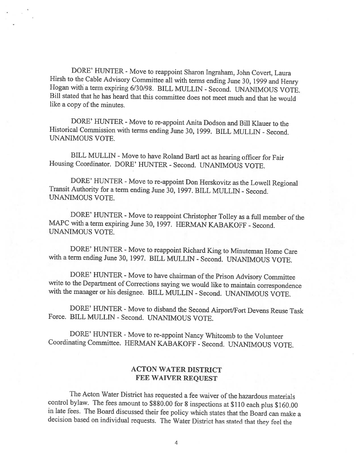DORE' HUNTER - Move to reappoint Sharon Ingraham, John Covert, Laura<br>Hirsh to the Cable Advisory Committee all with terms ending June 30, 1999 and Henry Hogan with a term expiring 6/30/98. BILL MULLIN - Second. UNANIMOUS VOTE. Bill stated that he has heard that this committee does not meet much and that he would like <sup>a</sup> copy of the minutes.

DORE' HUNTER - Move to re-appoint Anita Dodson and Bill Klauer to the Historical Commission with terms ending June 30, 1999. BILL MULLEN - Second. UNANIMOUS VOTE.

BILL MULLEN - Move to have Roland Bartl act as hearing officer for Fair Housing Coordinator. DORE' HUNTER - Second. UNANIMOUS VOTE.

DORE' HUNTER - Move to re-appoint Don Herskovitz as the Lowell Regional Transit Authority for a term ending June 30, 1997. BILL MULLIN - Second. UNANIMOUS VOTE.

DORE' HUNTER - Move to reappoint Christopher Tolley as a full member of the MAPC with <sup>a</sup> term expiring June 30, 1997. HERMAN KABAKOFF - Second. UNANIMOUS VOTE.

DORE' HUNTER - Move to reappoint Richard King to Minuteman Home Care with <sup>a</sup> term ending June 30, 1997. BILL MULLEN - Second. UNANIMOUS VOTE.

DORE' HUNTER - Move to have chairman of the Prison Advisory Committee<br>write to the Department of Corrections saying we would like to maintain correspondence<br>with the manager or his designee. BILL MULLIN - Second. UNANIMOUS

DORE' HUNTER - Move to disband the Second Airport/Fort Devens Reuse Task Force. BILL MULLEN - Second. UNANIMOUS VOTE.

DORE' HUNTER - Move to re-appoint Nancy Whitcomb to the Volunteer Coordinating Committee. HERMAN KABAKOFF -Second. UNANIMOUS VOTE.

## ACTON WATER DISTRICT FEE WAIVER REQUEST

The Acton Water District has requested a fee waiver of the hazardous materials control bylaw. The fees amount to \$880.00 for 8 inspections at \$110 each plus \$160.00 in late fees. The Board discussed their fee policy which states that the Board can make a decision based on individual requests. The Water District has stated that they feel the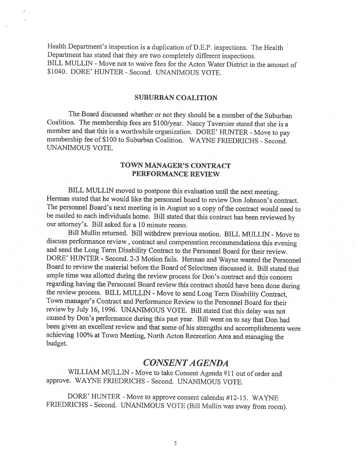Health Department's inspection is a duplication of D.E.P. inspections. The Health Department has stated that they are two completely different inspections. BILL MULLIN - Move not to waive fees for the Acton Water District in the amount of \$1040. DORE' HUNTER - Second. UNANIMOUS VOTE.

#### SUBURBAN COALITION

The Board discussed whether or not they should be a member of the Suburban Coalition. The membership fees are \$100/year. Nancy Tavernier stated that she is <sup>a</sup> member and that this is a worthwhile organization. DORE' HUNTER - Move to pay membership fee of \$100 to Suburban Coalition. WAYNE FRIEDRICHS - Second. UNANIMOUS VOTE.

#### TOWN MANAGER'S CONTRACT PERFORMANCE REVIEW

BILL MULLIN moved to postpone this evaluation until the next meeting. Herman stated that he would like the personnel board to review Don Johnson's contract. The personnel Board's next meeting is in August so a copy of the contract would need to be mailed to each individuals home. Bill stated that this contract has been reviewed by our attorney's. Bill asked for <sup>a</sup> 10 minute recess.

Bill Mullin returned. Bill withdrew previous motion. BILL MULLIN - Move to discuss performance review, contract and compensation recommendations this evening and send the Long Term Disability Contract to the Personnel Board for their review. DORE' HUNTER - Second. 2-3 Motion fails. Herman and Wayne wanted the Personnel Board to review the material before the Board of Selectmen discussed it. Bill stated that ample time was allotted during the review process for Don's contract and this concern regarding having the Personnel Board review this contract should have been done during the review process. BILL MULLIN - Move to send Long Term Disability Contract, Town manager's Contract and Performance Review to the Personnel Board for their review by July 16, 1996. UNANIMOUS VOTE. Bill stated that this delay was not caused by Don's performance during this past year. Bill went on to say that Don had been <sup>g</sup>iven an excellent review and that some of his strengths and accomplishments were achieving 100% at Town Meeting, North Acton Recreation Area and managing the budget.

# CONSENTA GENDA

WILLIAM MULLIN - Move to take Consent Agenda #11 out of order and approve. WAYNE FRIEDRICHS - Second. UNANIMOUS VOTE.

DORE' HUNTER - Move to approve consent calendar #12-15. WAYNE FRIEDRICHS - Second. UNANIMOUS VOTE (Bill Mullin was away from room).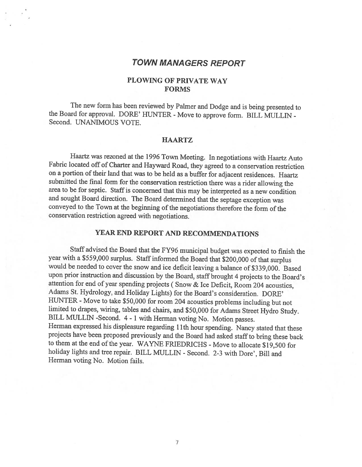## TOWN MANAGERS REPORT

#### PLOWING OF PRIVATE WAY **FORMS**

The new form has been reviewed by Palmer and Dodge and is being presented to the Board for approval. DORE' HUNTER - Move to approve form. BILL MULLIN -Second. UNANIMOUS VOTE.

#### **HAARTZ**

Haartz was rezoned at the <sup>1996</sup> Town Meeting. In negotiations with Haartz Auto Fabric located off of Charter and Hayward Road, they agreed to <sup>a</sup> conservation restriction on a portion of their land that was to be held as a buffer for adjacent residences. Haartz submitted the final form for the conservation restriction there was <sup>a</sup> rider allowing the area to be for septic. Staff is concerned that this may be interpreted as <sup>a</sup> new condition and sought Board direction. The Board determined that the septage exception was conveyed to the Town at the beginning of the negotiations therefore the form of the conservation restriction agreed with negotiations.

#### YEAR END REPORT AND RECOMMENDATIONS

Staff advised the Board that the FY96 municipal budget was expected to finish the year with a \$559,000 surplus. Staff informed the Board that \$200,000 of that surplus would be needed to cover the snow and ice deficit leaving <sup>a</sup> balance of \$339,000. Based upon prior instruction and discussion by the Board, staff brought <sup>4</sup> projects to the Board's attention for end of year spending projects ( Snow & Ice Deficit, Room <sup>204</sup> acoustics, Adams St. Hydrology, and Holiday Lights) for the Board's consideration. DORE' HUNTER - Move to take \$50,000 for room 204 acoustics problems including but not limited to drapes, wiring, tables and chairs, and \$50,000 for Adams Street Hydro Study. BILL MULLEN -Second. <sup>4</sup> - <sup>1</sup> with Herman voting No. Motion passes. Herman expressed his displeasure regarding 11th hour spending. Nancy stated that these projects have been proposed previously and the Board had asked staffto bring these back to them at the end of the year. WAYNE FRIEDRICHS - Move to allocate \$19,500 for holiday lights and tree repair. BILL MULLIN - Second. 2-3 with Dore', Bill and Herman voting No. Motion fails.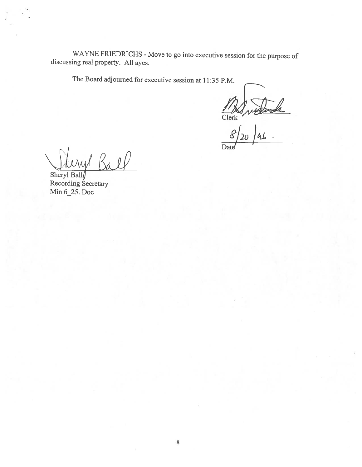WAYNE FRIEDRICHS - Move to go into executive session for the purpose of discussing real property. All ayes.

The Board adjourned for executive session at 11:35 P.M.

Clerk

)4. Date'

Ball  $U$  $M$ 

Sheryl Ball Recording Secretary Min 6 25. Doc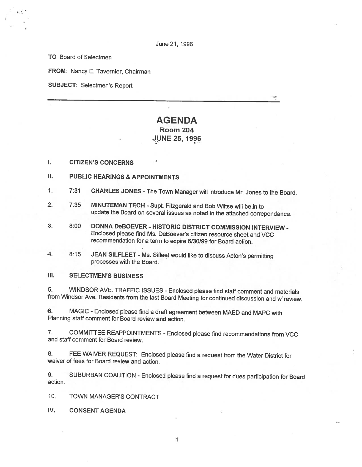TO Board of Selectmen

FROM: Nancy E. Tavernier, Chairman

SUBJECT: Selectmen's Report

# AGENDA Room 204 JUNE 25, 1996

- I. CITIZEN'S CONCERNS
- II. PUBLIC HEARINGS & APPOINTMENTS
- 1. 7:31 CHARLES JONES -The Town Manager will introduce Mr. Jones to the Board.
- 2. 7:35 MINUTEMAN TECH Supt. Fitzgerald and Bob Wiltse will be in to update the Board on several issues as noted in the attached correpondance.
- 3. 8:00 DONNA DeBOEVER HISTORIC DISTRICT COMMISSION INTERVIEW Enclosed <sup>p</sup>lease find Ms. DeBoever's citizen resource sheet and VCC recommendation for <sup>a</sup> term to expire 6/30/99 for Board action.
- 4. 8:15 JEAN SILFLEET Ms. Sifleet would like to discuss Acton's permitting processes with the Board.

#### III. SELECTMEN'S BUSINESS

5. WINDSOR AVE. TRAFFIC ISSUES - Enclosed <sup>p</sup>lease find staff comment and materials from Windsor Ave. Residents from the last Board Meeting for continued discussion and <sup>w</sup>'review.

6. MAGIC -Enclosed <sup>p</sup>lease find <sup>a</sup> draft agreement between MAED and MAPC with Planning staff comment for Board review and action.

7. COMMITTEE REAPPOINTMENTS - Enclosed <sup>p</sup>lease find recommendations from VCC and staff comment for Board review.

8. FEE WAIVER REQUEST: Enclosed <sup>p</sup>lease find <sup>a</sup> request from the Water District for waiver of fees for Board review and action.

9. SUBURBAN COALITION -Enclosed <sup>p</sup>lease find <sup>a</sup> request for dues participation for Board action

10. TOWN MANAGER'S CONTRACT

IV. CONSENT AGENDA

1